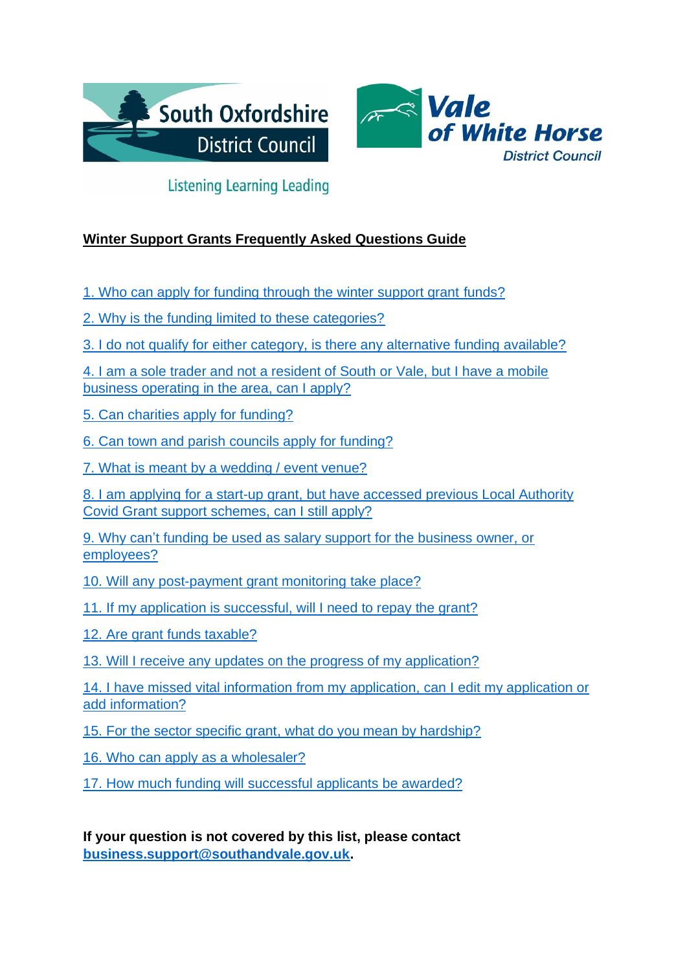



# **Listening Learning Leading**

## **Winter Support Grants Frequently Asked Questions Guide**

[1. Who can apply for funding through the winter support grant](#page-1-0) funds?

[2. Why is the funding limited to these categories?](#page-2-0)

[3. I do not qualify for either category, is there any alternative funding available?](#page-2-1)

[4. I am a sole trader and not a resident of South or Vale, but I have a mobile](#page-2-2)  [business operating in the area, can I apply?](#page-2-2)

[5. Can charities apply for funding?](#page-3-0)

[6. Can town and parish councils apply for funding?](#page-3-1)

[7. What is meant by a wedding / event venue?](#page-3-2)

8. I am applying for a start-up grant, but have accessed previous Local Authority [Covid Grant support schemes, can I still apply?](#page-3-3)

9. Why can't [funding be used as salary support for the business owner, or](#page-3-4)  [employees?](#page-3-4)

[10. Will any post-payment grant monitoring take place?](#page-3-5)

[11. If my application is successful, will I need to repay the grant?](#page-4-0)

[12. Are grant funds taxable?](#page-4-1)

[13. Will I receive any updates on the progress of my application?](#page-4-2)

[14. I have missed vital information from my application, can I edit my application](#page-4-3) or [add information?](#page-4-3)

[15. For the sector specific grant, what](#page-4-4) do you mean by hardship?

16. Who can [apply as a wholesaler?](#page-5-0)

[17. How much funding will successful](#page-5-1) applicants be awarded?

**If your question is not covered by this list, please contact [business.support@southandvale.gov.uk.](mailto:business.support@southandvale.gov.uk)**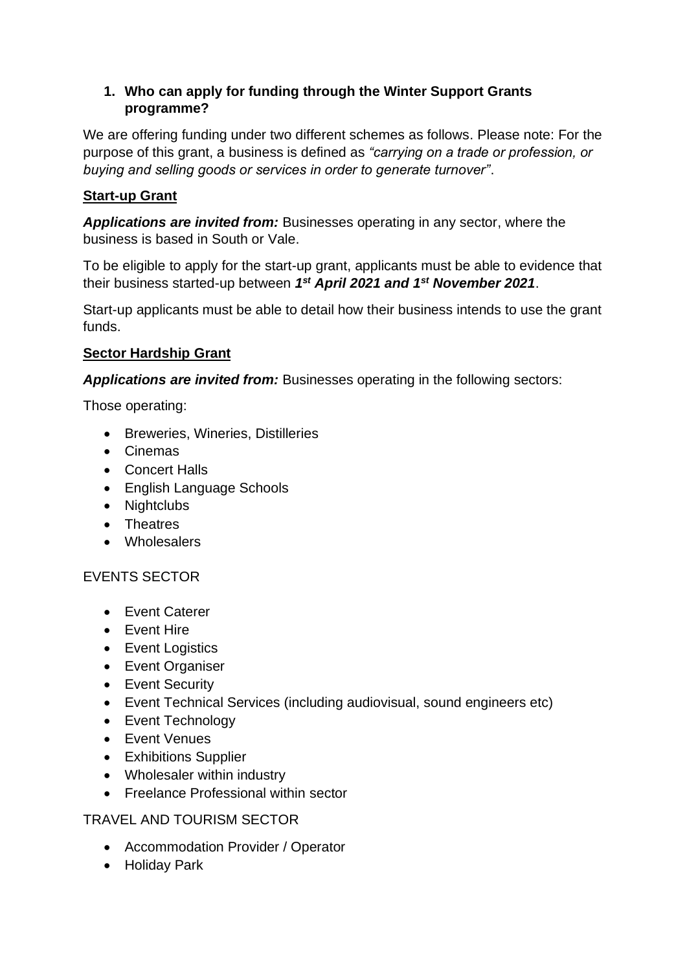#### <span id="page-1-0"></span>**1. Who can apply for funding through the Winter Support Grants programme?**

We are offering funding under two different schemes as follows. Please note: For the purpose of this grant, a business is defined as *"carrying on a trade or profession, or buying and selling goods or services in order to generate turnover"*.

## **Start-up Grant**

*Applications are invited from:* Businesses operating in any sector, where the business is based in South or Vale.

To be eligible to apply for the start-up grant, applicants must be able to evidence that their business started-up between *1 st April 2021 and 1st November 2021*.

Start-up applicants must be able to detail how their business intends to use the grant funds.

### **Sector Hardship Grant**

*Applications are invited from:* Businesses operating in the following sectors:

Those operating:

- Breweries, Wineries, Distilleries
- Cinemas
- Concert Halls
- English Language Schools
- Nightclubs
- Theatres
- Wholesalers

### EVENTS SECTOR

- Event Caterer
- Event Hire
- Event Logistics
- Event Organiser
- Event Security
- Event Technical Services (including audiovisual, sound engineers etc)
- Event Technology
- Event Venues
- Exhibitions Supplier
- Wholesaler within industry
- Freelance Professional within sector

### TRAVEL AND TOURISM SECTOR

- Accommodation Provider / Operator
- Holiday Park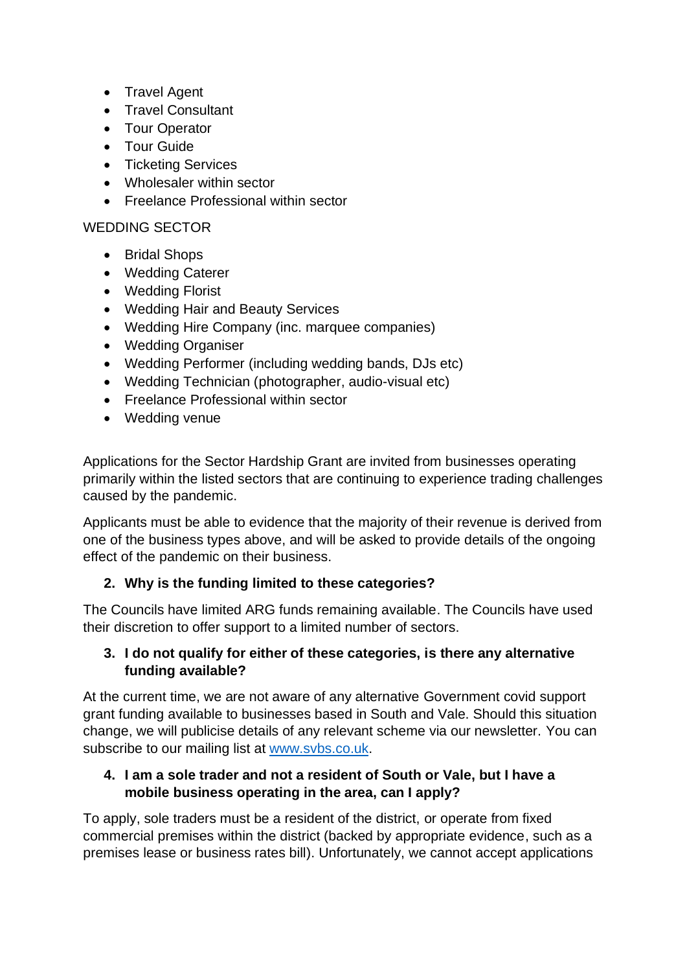- Travel Agent
- Travel Consultant
- Tour Operator
- Tour Guide
- Ticketing Services
- Wholesaler within sector
- Freelance Professional within sector

#### WEDDING SECTOR

- Bridal Shops
- Wedding Caterer
- Wedding Florist
- Wedding Hair and Beauty Services
- Wedding Hire Company (inc. marquee companies)
- Wedding Organiser
- Wedding Performer (including wedding bands, DJs etc)
- Wedding Technician (photographer, audio-visual etc)
- Freelance Professional within sector
- Wedding venue

Applications for the Sector Hardship Grant are invited from businesses operating primarily within the listed sectors that are continuing to experience trading challenges caused by the pandemic.

Applicants must be able to evidence that the majority of their revenue is derived from one of the business types above, and will be asked to provide details of the ongoing effect of the pandemic on their business.

#### <span id="page-2-0"></span>**2. Why is the funding limited to these categories?**

The Councils have limited ARG funds remaining available. The Councils have used their discretion to offer support to a limited number of sectors.

#### <span id="page-2-1"></span>**3. I do not qualify for either of these categories, is there any alternative funding available?**

At the current time, we are not aware of any alternative Government covid support grant funding available to businesses based in South and Vale. Should this situation change, we will publicise details of any relevant scheme via our newsletter. You can subscribe to our mailing list at [www.svbs.co.uk.](http://www.svbs.co.uk/)

#### <span id="page-2-2"></span>**4. I am a sole trader and not a resident of South or Vale, but I have a mobile business operating in the area, can I apply?**

To apply, sole traders must be a resident of the district, or operate from fixed commercial premises within the district (backed by appropriate evidence, such as a premises lease or business rates bill). Unfortunately, we cannot accept applications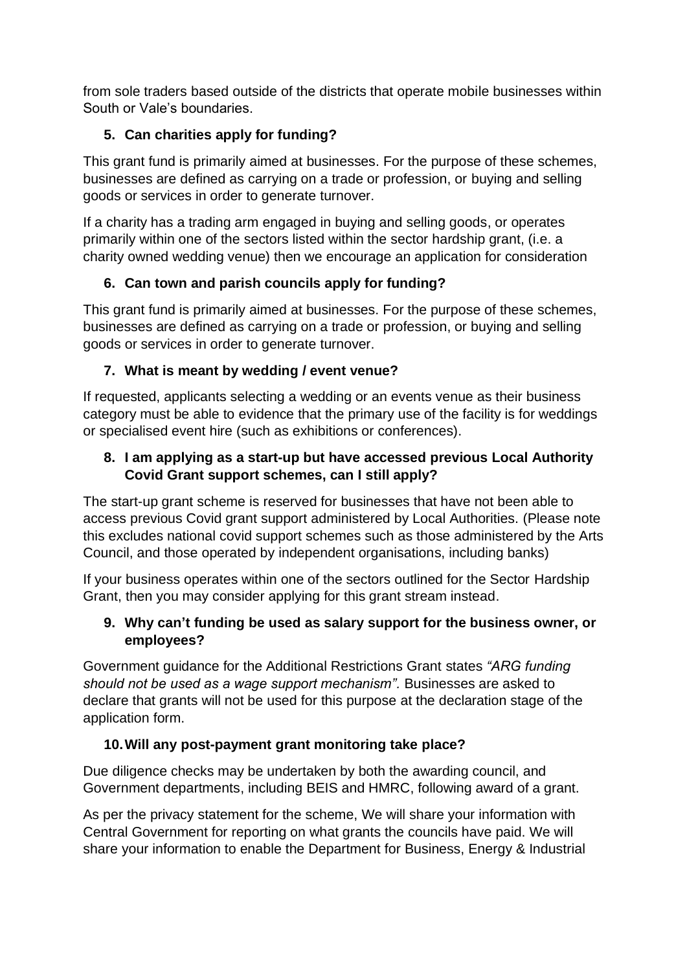from sole traders based outside of the districts that operate mobile businesses within South or Vale's boundaries.

## <span id="page-3-0"></span>**5. Can charities apply for funding?**

This grant fund is primarily aimed at businesses. For the purpose of these schemes, businesses are defined as carrying on a trade or profession, or buying and selling goods or services in order to generate turnover.

If a charity has a trading arm engaged in buying and selling goods, or operates primarily within one of the sectors listed within the sector hardship grant, (i.e. a charity owned wedding venue) then we encourage an application for consideration

## <span id="page-3-1"></span>**6. Can town and parish councils apply for funding?**

This grant fund is primarily aimed at businesses. For the purpose of these schemes, businesses are defined as carrying on a trade or profession, or buying and selling goods or services in order to generate turnover.

## <span id="page-3-2"></span>**7. What is meant by wedding / event venue?**

If requested, applicants selecting a wedding or an events venue as their business category must be able to evidence that the primary use of the facility is for weddings or specialised event hire (such as exhibitions or conferences).

### <span id="page-3-3"></span>**8. I am applying as a start-up but have accessed previous Local Authority Covid Grant support schemes, can I still apply?**

The start-up grant scheme is reserved for businesses that have not been able to access previous Covid grant support administered by Local Authorities. (Please note this excludes national covid support schemes such as those administered by the Arts Council, and those operated by independent organisations, including banks)

If your business operates within one of the sectors outlined for the Sector Hardship Grant, then you may consider applying for this grant stream instead.

#### <span id="page-3-4"></span>**9. Why can't funding be used as salary support for the business owner, or employees?**

Government guidance for the Additional Restrictions Grant states *"ARG funding should not be used as a wage support mechanism".* Businesses are asked to declare that grants will not be used for this purpose at the declaration stage of the application form.

### <span id="page-3-5"></span>**10.Will any post-payment grant monitoring take place?**

Due diligence checks may be undertaken by both the awarding council, and Government departments, including BEIS and HMRC, following award of a grant.

As per the privacy statement for the scheme, We will share your information with Central Government for reporting on what grants the councils have paid. We will share your information to enable the Department for Business, Energy & Industrial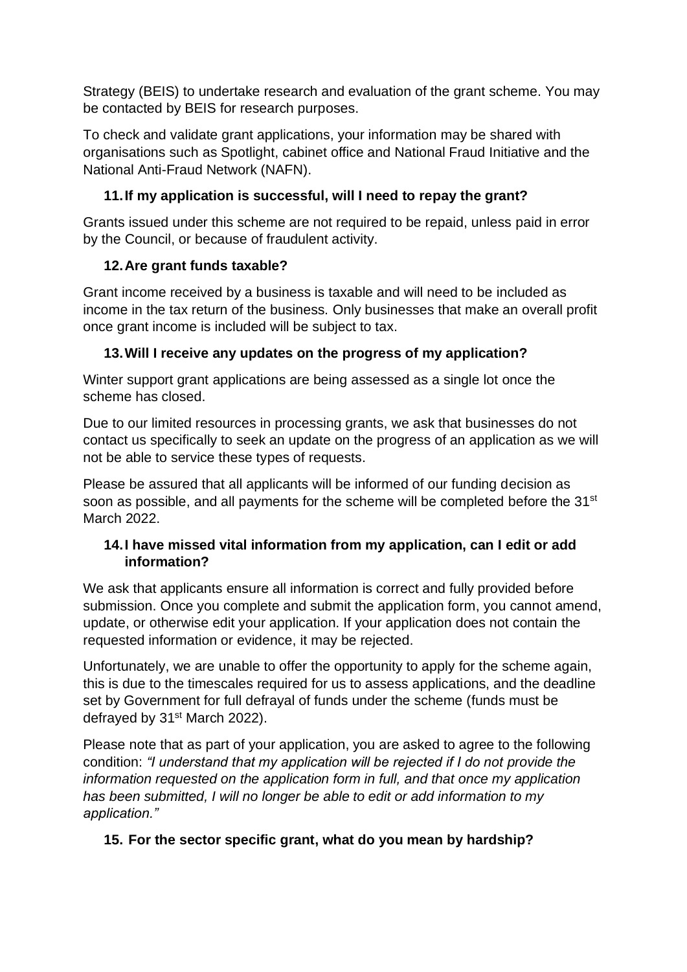Strategy (BEIS) to undertake research and evaluation of the grant scheme. You may be contacted by BEIS for research purposes.

To check and validate grant applications, your information may be shared with organisations such as Spotlight, cabinet office and National Fraud Initiative and the National Anti-Fraud Network (NAFN).

## <span id="page-4-0"></span>**11.If my application is successful, will I need to repay the grant?**

Grants issued under this scheme are not required to be repaid, unless paid in error by the Council, or because of fraudulent activity.

## <span id="page-4-1"></span>**12.Are grant funds taxable?**

Grant income received by a business is taxable and will need to be included as income in the tax return of the business. Only businesses that make an overall profit once grant income is included will be subject to tax.

## <span id="page-4-2"></span>**13.Will I receive any updates on the progress of my application?**

Winter support grant applications are being assessed as a single lot once the scheme has closed.

Due to our limited resources in processing grants, we ask that businesses do not contact us specifically to seek an update on the progress of an application as we will not be able to service these types of requests.

Please be assured that all applicants will be informed of our funding decision as soon as possible, and all payments for the scheme will be completed before the 31<sup>st</sup> March 2022.

#### <span id="page-4-3"></span>**14.I have missed vital information from my application, can I edit or add information?**

We ask that applicants ensure all information is correct and fully provided before submission. Once you complete and submit the application form, you cannot amend, update, or otherwise edit your application. If your application does not contain the requested information or evidence, it may be rejected.

Unfortunately, we are unable to offer the opportunity to apply for the scheme again, this is due to the timescales required for us to assess applications, and the deadline set by Government for full defrayal of funds under the scheme (funds must be defrayed by 31<sup>st</sup> March 2022).

Please note that as part of your application, you are asked to agree to the following condition: *"I understand that my application will be rejected if I do not provide the information requested on the application form in full, and that once my application has been submitted, I will no longer be able to edit or add information to my application."*

## <span id="page-4-4"></span>**15. For the sector specific grant, what do you mean by hardship?**